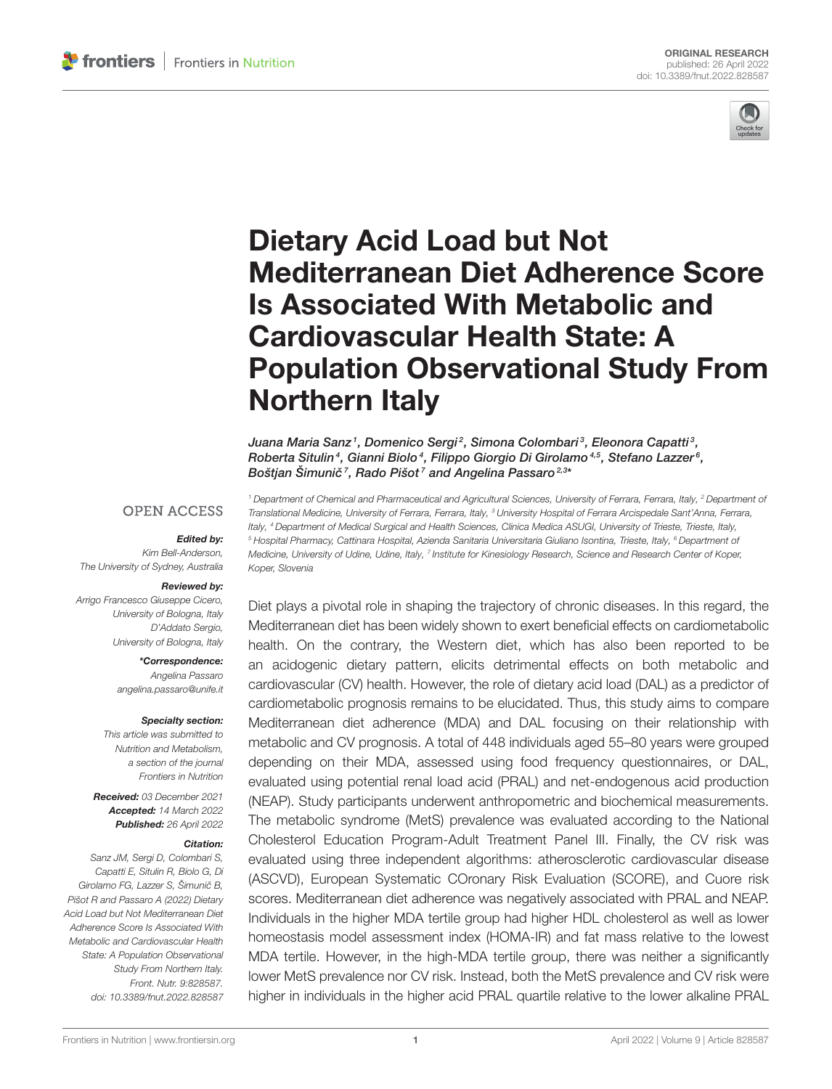

# Dietary Acid Load but Not Mediterranean Diet Adherence Score Is Associated With Metabolic and Cardiovascular Health State: A [Population Observational Study From](https://www.frontiersin.org/articles/10.3389/fnut.2022.828587/full) Northern Italy

Juana Maria Sanz1, Domenico Sergi<sup>2</sup>, Simona Colombari<sup>3</sup>, Eleonora Capatti<sup>3</sup>, Roberta Situlin<sup>4</sup>, Gianni Biolo<sup>4</sup>, Filippo Giorgio Di Girolamo<sup>4,5</sup>, Stefano Lazzer<sup>6</sup>, Boštjan Šimunič<sup>7</sup>, Rado Pišot<sup>7</sup> and Angelina Passaro<sup>2,3</sup>\*

#### **OPEN ACCESS**

#### Edited by:

Kim Bell-Anderson, The University of Sydney, Australia

#### Reviewed by:

Arrigo Francesco Giuseppe Cicero, University of Bologna, Italy D'Addato Sergio, University of Bologna, Italy

\*Correspondence:

Angelina Passaro [angelina.passaro@unife.it](mailto:angelina.passaro@unife.it)

#### Specialty section:

This article was submitted to Nutrition and Metabolism, a section of the journal Frontiers in Nutrition

Received: 03 December 2021 Accepted: 14 March 2022 Published: 26 April 2022

#### Citation:

Sanz JM, Sergi D, Colombari S, Capatti E, Situlin R, Biolo G, Di Girolamo FG, Lazzer S, Šimunič B, Pišot R and Passaro A (2022) Dietary Acid Load but Not Mediterranean Diet Adherence Score Is Associated With Metabolic and Cardiovascular Health State: A Population Observational Study From Northern Italy. Front. Nutr. 9:828587. doi: [10.3389/fnut.2022.828587](https://doi.org/10.3389/fnut.2022.828587)

<sup>1</sup> Department of Chemical and Pharmaceutical and Agricultural Sciences, University of Ferrara, Ferrara, Italy, <sup>2</sup> Department of Translational Medicine, University of Ferrara, Ferrara, Italy, <sup>3</sup> University Hospital of Ferrara Arcispedale Sant'Anna, Ferrara, Italy, <sup>4</sup> Department of Medical Surgical and Health Sciences, Clinica Medica ASUGI, University of Trieste, Trieste, Italy, <sup>5</sup> Hospital Pharmacy, Cattinara Hospital, Azienda Sanitaria Universitaria Giuliano Isontina, Trieste, Italy, <sup>6</sup> Department of Medicine, University of Udine, Udine, Italy, <sup>7</sup> Institute for Kinesiology Research, Science and Research Center of Koper, Koper, Slovenia

Diet plays a pivotal role in shaping the trajectory of chronic diseases. In this regard, the Mediterranean diet has been widely shown to exert beneficial effects on cardiometabolic health. On the contrary, the Western diet, which has also been reported to be an acidogenic dietary pattern, elicits detrimental effects on both metabolic and cardiovascular (CV) health. However, the role of dietary acid load (DAL) as a predictor of cardiometabolic prognosis remains to be elucidated. Thus, this study aims to compare Mediterranean diet adherence (MDA) and DAL focusing on their relationship with metabolic and CV prognosis. A total of 448 individuals aged 55–80 years were grouped depending on their MDA, assessed using food frequency questionnaires, or DAL, evaluated using potential renal load acid (PRAL) and net-endogenous acid production (NEAP). Study participants underwent anthropometric and biochemical measurements. The metabolic syndrome (MetS) prevalence was evaluated according to the National Cholesterol Education Program-Adult Treatment Panel III. Finally, the CV risk was evaluated using three independent algorithms: atherosclerotic cardiovascular disease (ASCVD), European Systematic COronary Risk Evaluation (SCORE), and Cuore risk scores. Mediterranean diet adherence was negatively associated with PRAL and NEAP. Individuals in the higher MDA tertile group had higher HDL cholesterol as well as lower homeostasis model assessment index (HOMA-IR) and fat mass relative to the lowest MDA tertile. However, in the high-MDA tertile group, there was neither a significantly lower MetS prevalence nor CV risk. Instead, both the MetS prevalence and CV risk were higher in individuals in the higher acid PRAL quartile relative to the lower alkaline PRAL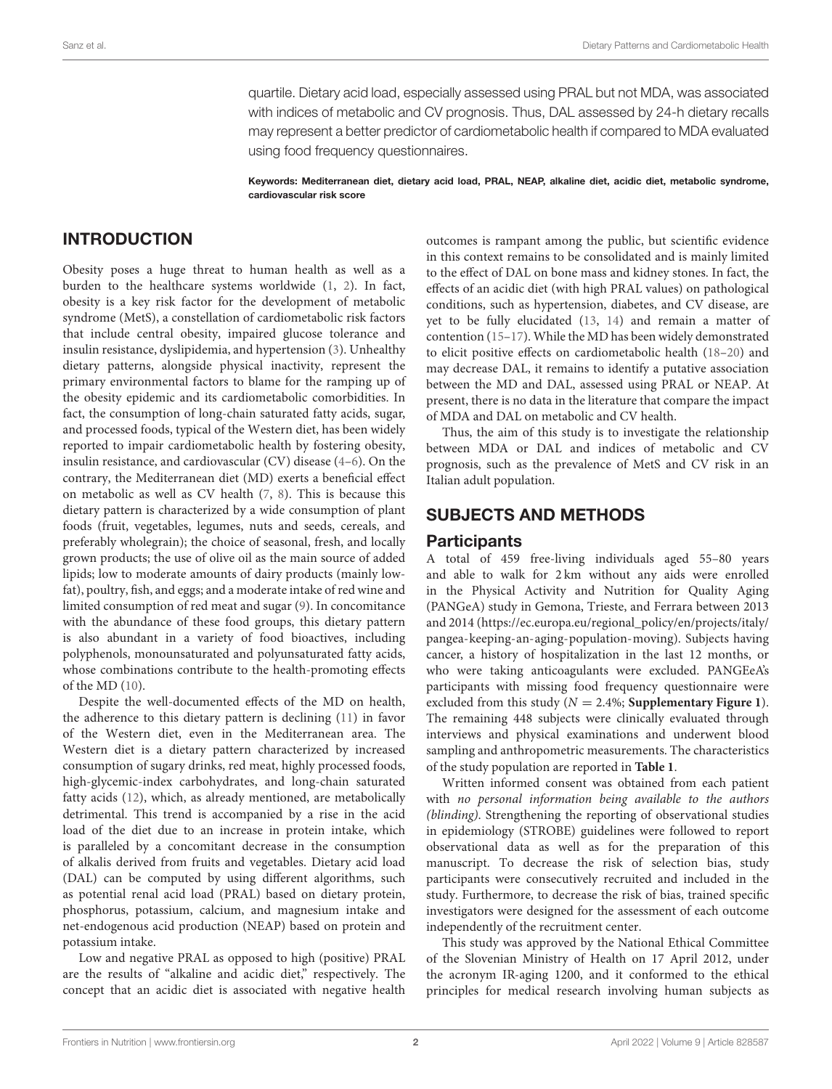quartile. Dietary acid load, especially assessed using PRAL but not MDA, was associated with indices of metabolic and CV prognosis. Thus, DAL assessed by 24-h dietary recalls may represent a better predictor of cardiometabolic health if compared to MDA evaluated using food frequency questionnaires.

Keywords: Mediterranean diet, dietary acid load, PRAL, NEAP, alkaline diet, acidic diet, metabolic syndrome, cardiovascular risk score

## INTRODUCTION

Obesity poses a huge threat to human health as well as a burden to the healthcare systems worldwide [\(1,](#page-8-0) [2\)](#page-8-1). In fact, obesity is a key risk factor for the development of metabolic syndrome (MetS), a constellation of cardiometabolic risk factors that include central obesity, impaired glucose tolerance and insulin resistance, dyslipidemia, and hypertension [\(3\)](#page-8-2). Unhealthy dietary patterns, alongside physical inactivity, represent the primary environmental factors to blame for the ramping up of the obesity epidemic and its cardiometabolic comorbidities. In fact, the consumption of long-chain saturated fatty acids, sugar, and processed foods, typical of the Western diet, has been widely reported to impair cardiometabolic health by fostering obesity, insulin resistance, and cardiovascular (CV) disease [\(4–](#page-8-3)[6\)](#page-9-0). On the contrary, the Mediterranean diet (MD) exerts a beneficial effect on metabolic as well as CV health [\(7,](#page-9-1) [8\)](#page-9-2). This is because this dietary pattern is characterized by a wide consumption of plant foods (fruit, vegetables, legumes, nuts and seeds, cereals, and preferably wholegrain); the choice of seasonal, fresh, and locally grown products; the use of olive oil as the main source of added lipids; low to moderate amounts of dairy products (mainly lowfat), poultry, fish, and eggs; and a moderate intake of red wine and limited consumption of red meat and sugar [\(9\)](#page-9-3). In concomitance with the abundance of these food groups, this dietary pattern is also abundant in a variety of food bioactives, including polyphenols, monounsaturated and polyunsaturated fatty acids, whose combinations contribute to the health-promoting effects of the MD [\(10\)](#page-9-4).

Despite the well-documented effects of the MD on health, the adherence to this dietary pattern is declining [\(11\)](#page-9-5) in favor of the Western diet, even in the Mediterranean area. The Western diet is a dietary pattern characterized by increased consumption of sugary drinks, red meat, highly processed foods, high-glycemic-index carbohydrates, and long-chain saturated fatty acids [\(12\)](#page-9-6), which, as already mentioned, are metabolically detrimental. This trend is accompanied by a rise in the acid load of the diet due to an increase in protein intake, which is paralleled by a concomitant decrease in the consumption of alkalis derived from fruits and vegetables. Dietary acid load (DAL) can be computed by using different algorithms, such as potential renal acid load (PRAL) based on dietary protein, phosphorus, potassium, calcium, and magnesium intake and net-endogenous acid production (NEAP) based on protein and potassium intake.

Low and negative PRAL as opposed to high (positive) PRAL are the results of "alkaline and acidic diet," respectively. The concept that an acidic diet is associated with negative health outcomes is rampant among the public, but scientific evidence in this context remains to be consolidated and is mainly limited to the effect of DAL on bone mass and kidney stones. In fact, the effects of an acidic diet (with high PRAL values) on pathological conditions, such as hypertension, diabetes, and CV disease, are yet to be fully elucidated [\(13,](#page-9-7) [14\)](#page-9-8) and remain a matter of contention [\(15–](#page-9-9)[17\)](#page-9-10). While the MD has been widely demonstrated to elicit positive effects on cardiometabolic health [\(18](#page-9-11)[–20\)](#page-9-12) and may decrease DAL, it remains to identify a putative association between the MD and DAL, assessed using PRAL or NEAP. At present, there is no data in the literature that compare the impact of MDA and DAL on metabolic and CV health.

Thus, the aim of this study is to investigate the relationship between MDA or DAL and indices of metabolic and CV prognosis, such as the prevalence of MetS and CV risk in an Italian adult population.

#### SUBJECTS AND METHODS

#### **Participants**

A total of 459 free-living individuals aged 55–80 years and able to walk for 2 km without any aids were enrolled in the Physical Activity and Nutrition for Quality Aging (PANGeA) study in Gemona, Trieste, and Ferrara between 2013 and 2014 [\(https://ec.europa.eu/regional\\_policy/en/projects/italy/](https://ec.europa.eu/regional_policy/en/projects/italy/pangea-keeping-an-aging-population-moving) [pangea-keeping-an-aging-population-moving\)](https://ec.europa.eu/regional_policy/en/projects/italy/pangea-keeping-an-aging-population-moving). Subjects having cancer, a history of hospitalization in the last 12 months, or who were taking anticoagulants were excluded. PANGEeA's participants with missing food frequency questionnaire were excluded from this study ( $N = 2.4\%$ ; **[Supplementary Figure 1](#page-8-4)**). The remaining 448 subjects were clinically evaluated through interviews and physical examinations and underwent blood sampling and anthropometric measurements. The characteristics of the study population are reported in **[Table 1](#page-2-0)**.

Written informed consent was obtained from each patient with no personal information being available to the authors (blinding). Strengthening the reporting of observational studies in epidemiology (STROBE) guidelines were followed to report observational data as well as for the preparation of this manuscript. To decrease the risk of selection bias, study participants were consecutively recruited and included in the study. Furthermore, to decrease the risk of bias, trained specific investigators were designed for the assessment of each outcome independently of the recruitment center.

This study was approved by the National Ethical Committee of the Slovenian Ministry of Health on 17 April 2012, under the acronym IR-aging 1200, and it conformed to the ethical principles for medical research involving human subjects as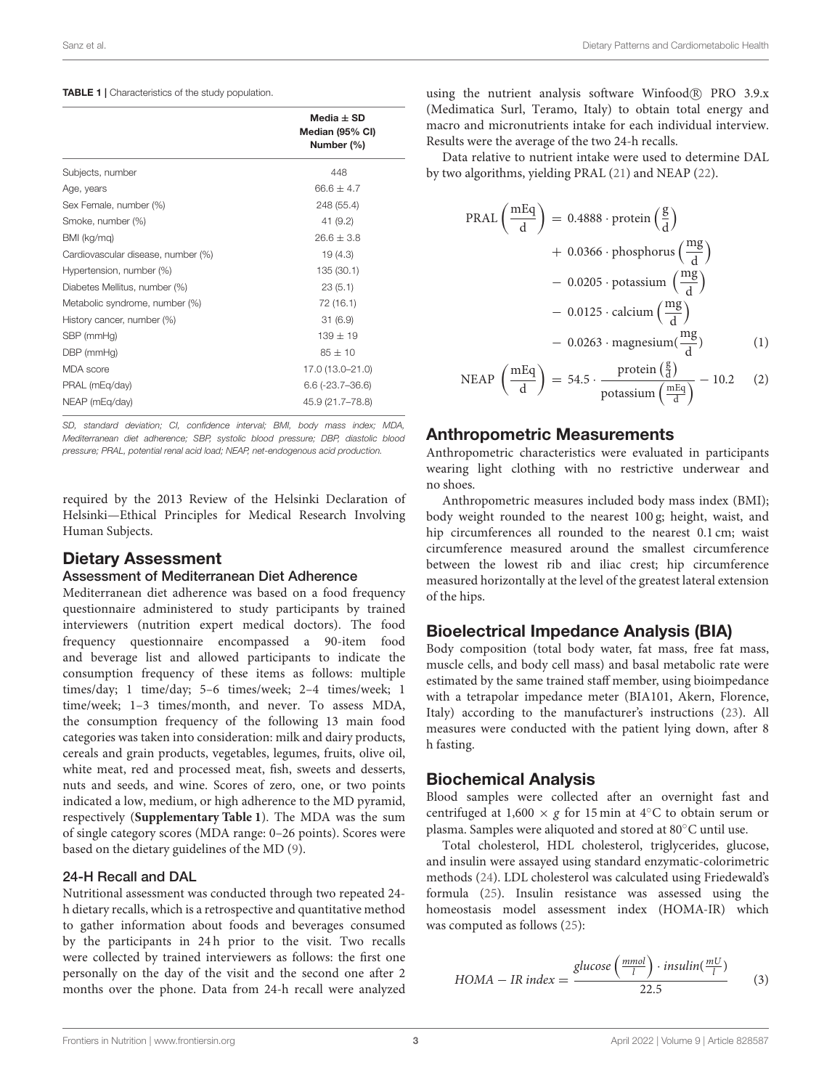#### <span id="page-2-0"></span>TABLE 1 | Characteristics of the study population.

|                                    | Media $\pm$ SD                |
|------------------------------------|-------------------------------|
|                                    | Median (95% CI)<br>Number (%) |
| Subjects, number                   | 448                           |
| Age, years                         | $66.6 \pm 4.7$                |
| Sex Female, number (%)             | 248 (55.4)                    |
| Smoke, number (%)                  | 41 (9.2)                      |
| BMI (kg/mq)                        | $26.6 + 3.8$                  |
| Cardiovascular disease, number (%) | 19(4.3)                       |
| Hypertension, number (%)           | 135 (30.1)                    |
| Diabetes Mellitus, number (%)      | 23(5.1)                       |
| Metabolic syndrome, number (%)     | 72 (16.1)                     |
| History cancer, number (%)         | 31(6.9)                       |
| SBP (mmHg)                         | $139 \pm 19$                  |
| DBP (mmHg)                         | $85 \pm 10$                   |
| <b>MDA</b> score                   | 17.0 (13.0-21.0)              |
| PRAL (mEg/day)                     | $6.6(-23.7-36.6)$             |
| NEAP (mEg/day)                     | 45.9 (21.7-78.8)              |

SD, standard deviation; CI, confidence interval; BMI, body mass index; MDA, Mediterranean diet adherence; SBP, systolic blood pressure; DBP, diastolic blood pressure; PRAL, potential renal acid load; NEAP, net-endogenous acid production.

required by the 2013 Review of the Helsinki Declaration of Helsinki—Ethical Principles for Medical Research Involving Human Subjects.

#### Dietary Assessment

#### Assessment of Mediterranean Diet Adherence

Mediterranean diet adherence was based on a food frequency questionnaire administered to study participants by trained interviewers (nutrition expert medical doctors). The food frequency questionnaire encompassed a 90-item food and beverage list and allowed participants to indicate the consumption frequency of these items as follows: multiple times/day; 1 time/day; 5–6 times/week; 2–4 times/week; 1 time/week; 1–3 times/month, and never. To assess MDA, the consumption frequency of the following 13 main food categories was taken into consideration: milk and dairy products, cereals and grain products, vegetables, legumes, fruits, olive oil, white meat, red and processed meat, fish, sweets and desserts, nuts and seeds, and wine. Scores of zero, one, or two points indicated a low, medium, or high adherence to the MD pyramid, respectively (**[Supplementary Table 1](#page-8-4)**). The MDA was the sum of single category scores (MDA range: 0–26 points). Scores were based on the dietary guidelines of the MD [\(9\)](#page-9-3).

#### 24-H Recall and DAL

Nutritional assessment was conducted through two repeated 24 h dietary recalls, which is a retrospective and quantitative method to gather information about foods and beverages consumed by the participants in 24 h prior to the visit. Two recalls were collected by trained interviewers as follows: the first one personally on the day of the visit and the second one after 2 months over the phone. Data from 24-h recall were analyzed using the nutrient analysis software Winfood<sup>(R)</sup> PRO 3.9.x (Medimatica Surl, Teramo, Italy) to obtain total energy and macro and micronutrients intake for each individual interview. Results were the average of the two 24-h recalls.

Data relative to nutrient intake were used to determine DAL by two algorithms, yielding PRAL [\(21\)](#page-9-13) and NEAP [\(22\)](#page-9-14).

$$
PRAL\left(\frac{mEq}{d}\right) = 0.4888 \cdot \text{protein}\left(\frac{g}{d}\right)
$$
  
+ 0.0366 \cdot \text{phosphorus}\left(\frac{mg}{d}\right)  
- 0.0205 \cdot \text{potassium}\left(\frac{mg}{d}\right)  
- 0.0125 \cdot \text{calcium}\left(\frac{mg}{d}\right)  
- 0.0263 \cdot \text{magnesium}\left(\frac{mg}{d}\right) (1)  
NEAP\left(\frac{mEq}{d}\right) = 54.5 \cdot \frac{\text{protein}\left(\frac{g}{d}\right)}{\text{notassium}\left(\frac{mEq}{d}\right)} - 10.2 (2)

potassium  $\left(\frac{mEq}{d}\right)$ 

d

#### Anthropometric Measurements

d

Anthropometric characteristics were evaluated in participants wearing light clothing with no restrictive underwear and no shoes.

Anthropometric measures included body mass index (BMI); body weight rounded to the nearest 100 g; height, waist, and hip circumferences all rounded to the nearest 0.1 cm; waist circumference measured around the smallest circumference between the lowest rib and iliac crest; hip circumference measured horizontally at the level of the greatest lateral extension of the hips.

#### Bioelectrical Impedance Analysis (BIA)

Body composition (total body water, fat mass, free fat mass, muscle cells, and body cell mass) and basal metabolic rate were estimated by the same trained staff member, using bioimpedance with a tetrapolar impedance meter (BIA101, Akern, Florence, Italy) according to the manufacturer's instructions [\(23\)](#page-9-15). All measures were conducted with the patient lying down, after 8 h fasting.

#### Biochemical Analysis

Blood samples were collected after an overnight fast and centrifuged at 1,600  $\times$  g for 15 min at 4 $\degree$ C to obtain serum or plasma. Samples were aliquoted and stored at 80◦C until use.

Total cholesterol, HDL cholesterol, triglycerides, glucose, and insulin were assayed using standard enzymatic-colorimetric methods [\(24\)](#page-9-16). LDL cholesterol was calculated using Friedewald's formula [\(25\)](#page-9-17). Insulin resistance was assessed using the homeostasis model assessment index (HOMA-IR) which was computed as follows [\(25\)](#page-9-17):

HOMA – IR index = 
$$
\frac{\text{glucose}\left(\frac{mmol}{l}\right) \cdot \text{insulin}(\frac{mU}{l})}{22.5}
$$
 (3)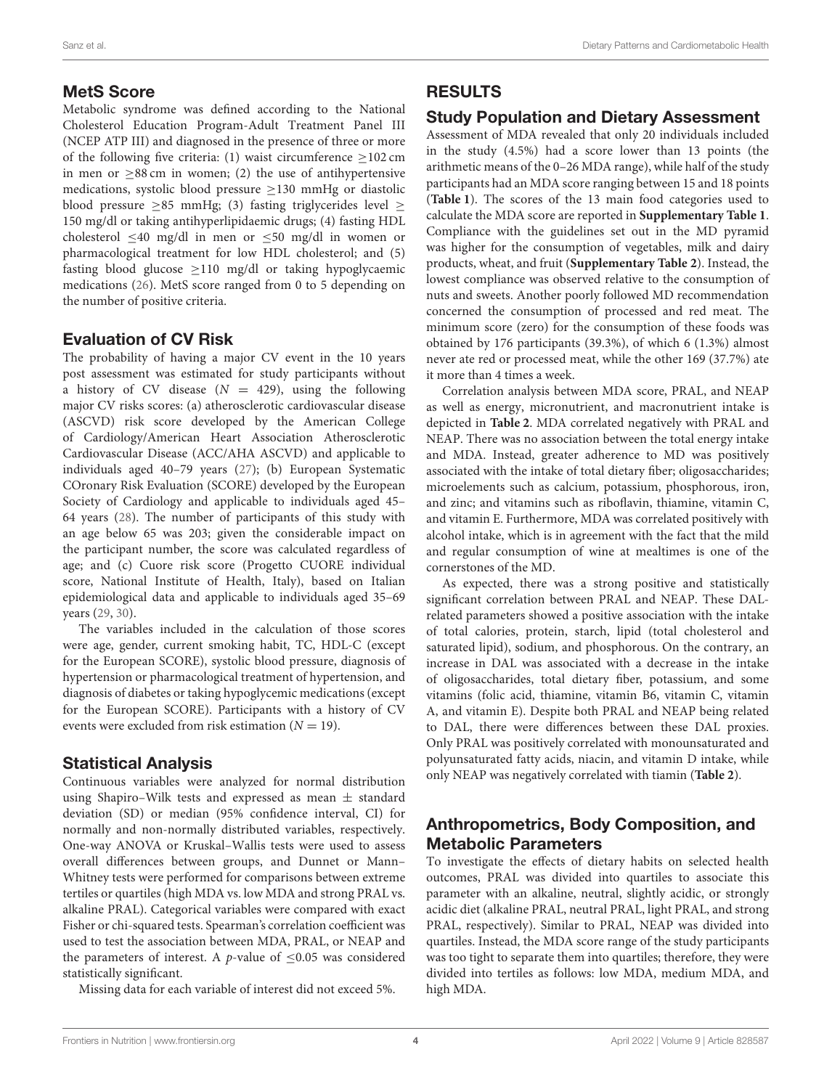#### MetS Score

Metabolic syndrome was defined according to the National Cholesterol Education Program-Adult Treatment Panel III (NCEP ATP III) and diagnosed in the presence of three or more of the following five criteria: (1) waist circumference  $\geq$  102 cm in men or ≥88 cm in women; (2) the use of antihypertensive medications, systolic blood pressure ≥130 mmHg or diastolic blood pressure  $\geq$ 85 mmHg; (3) fasting triglycerides level  $\geq$ 150 mg/dl or taking antihyperlipidaemic drugs; (4) fasting HDL cholesterol  $\leq 40$  mg/dl in men or  $\leq 50$  mg/dl in women or pharmacological treatment for low HDL cholesterol; and (5) fasting blood glucose  $\geq$ 110 mg/dl or taking hypoglycaemic medications [\(26\)](#page-9-18). MetS score ranged from 0 to 5 depending on the number of positive criteria.

## Evaluation of CV Risk

The probability of having a major CV event in the 10 years post assessment was estimated for study participants without a history of CV disease  $(N = 429)$ , using the following major CV risks scores: (a) atherosclerotic cardiovascular disease (ASCVD) risk score developed by the American College of Cardiology/American Heart Association Atherosclerotic Cardiovascular Disease (ACC/AHA ASCVD) and applicable to individuals aged 40–79 years [\(27\)](#page-9-19); (b) European Systematic COronary Risk Evaluation (SCORE) developed by the European Society of Cardiology and applicable to individuals aged 45– 64 years [\(28\)](#page-9-20). The number of participants of this study with an age below 65 was 203; given the considerable impact on the participant number, the score was calculated regardless of age; and (c) Cuore risk score (Progetto CUORE individual score, National Institute of Health, Italy), based on Italian epidemiological data and applicable to individuals aged 35–69 years [\(29,](#page-9-21) [30\)](#page-9-22).

The variables included in the calculation of those scores were age, gender, current smoking habit, TC, HDL-C (except for the European SCORE), systolic blood pressure, diagnosis of hypertension or pharmacological treatment of hypertension, and diagnosis of diabetes or taking hypoglycemic medications (except for the European SCORE). Participants with a history of CV events were excluded from risk estimation  $(N = 19)$ .

#### Statistical Analysis

Continuous variables were analyzed for normal distribution using Shapiro–Wilk tests and expressed as mean  $\pm$  standard deviation (SD) or median (95% confidence interval, CI) for normally and non-normally distributed variables, respectively. One-way ANOVA or Kruskal–Wallis tests were used to assess overall differences between groups, and Dunnet or Mann– Whitney tests were performed for comparisons between extreme tertiles or quartiles (high MDA vs. low MDA and strong PRAL vs. alkaline PRAL). Categorical variables were compared with exact Fisher or chi-squared tests. Spearman's correlation coefficient was used to test the association between MDA, PRAL, or NEAP and the parameters of interest. A *p*-value of  $\leq 0.05$  was considered statistically significant.

Missing data for each variable of interest did not exceed 5%.

## RESULTS

## Study Population and Dietary Assessment

Assessment of MDA revealed that only 20 individuals included in the study (4.5%) had a score lower than 13 points (the arithmetic means of the 0–26 MDA range), while half of the study participants had an MDA score ranging between 15 and 18 points (**[Table 1](#page-2-0)**). The scores of the 13 main food categories used to calculate the MDA score are reported in **[Supplementary Table 1](#page-8-4)**. Compliance with the guidelines set out in the MD pyramid was higher for the consumption of vegetables, milk and dairy products, wheat, and fruit (**[Supplementary Table 2](#page-8-4)**). Instead, the lowest compliance was observed relative to the consumption of nuts and sweets. Another poorly followed MD recommendation concerned the consumption of processed and red meat. The minimum score (zero) for the consumption of these foods was obtained by 176 participants (39.3%), of which 6 (1.3%) almost never ate red or processed meat, while the other 169 (37.7%) ate it more than 4 times a week.

Correlation analysis between MDA score, PRAL, and NEAP as well as energy, micronutrient, and macronutrient intake is depicted in **[Table 2](#page-4-0)**. MDA correlated negatively with PRAL and NEAP. There was no association between the total energy intake and MDA. Instead, greater adherence to MD was positively associated with the intake of total dietary fiber; oligosaccharides; microelements such as calcium, potassium, phosphorous, iron, and zinc; and vitamins such as riboflavin, thiamine, vitamin C, and vitamin E. Furthermore, MDA was correlated positively with alcohol intake, which is in agreement with the fact that the mild and regular consumption of wine at mealtimes is one of the cornerstones of the MD.

As expected, there was a strong positive and statistically significant correlation between PRAL and NEAP. These DALrelated parameters showed a positive association with the intake of total calories, protein, starch, lipid (total cholesterol and saturated lipid), sodium, and phosphorous. On the contrary, an increase in DAL was associated with a decrease in the intake of oligosaccharides, total dietary fiber, potassium, and some vitamins (folic acid, thiamine, vitamin B6, vitamin C, vitamin A, and vitamin E). Despite both PRAL and NEAP being related to DAL, there were differences between these DAL proxies. Only PRAL was positively correlated with monounsaturated and polyunsaturated fatty acids, niacin, and vitamin D intake, while only NEAP was negatively correlated with tiamin (**[Table 2](#page-4-0)**).

# Anthropometrics, Body Composition, and Metabolic Parameters

To investigate the effects of dietary habits on selected health outcomes, PRAL was divided into quartiles to associate this parameter with an alkaline, neutral, slightly acidic, or strongly acidic diet (alkaline PRAL, neutral PRAL, light PRAL, and strong PRAL, respectively). Similar to PRAL, NEAP was divided into quartiles. Instead, the MDA score range of the study participants was too tight to separate them into quartiles; therefore, they were divided into tertiles as follows: low MDA, medium MDA, and high MDA.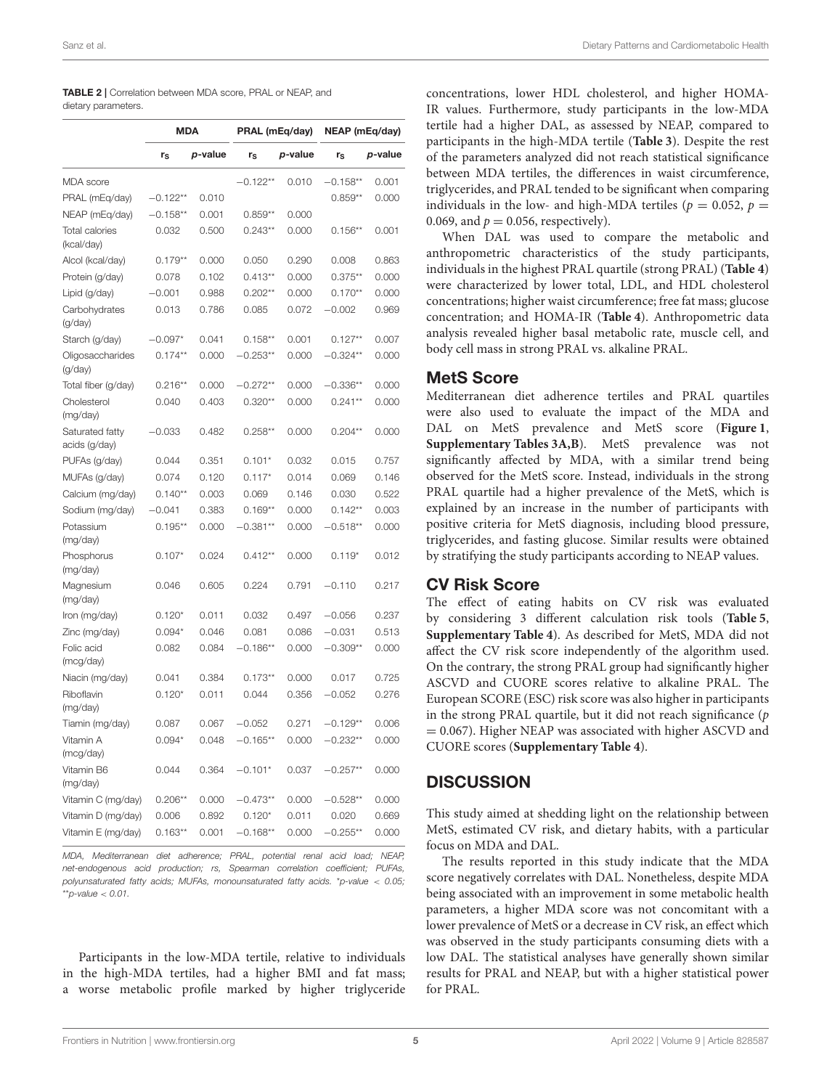<span id="page-4-0"></span>TABLE 2 | Correlation between MDA score, PRAL or NEAP, and dietary parameters.

|                                     | <b>MDA</b>  |         | PRAL (mEq/day) |         | NEAP (mEq/day) |         |  |
|-------------------------------------|-------------|---------|----------------|---------|----------------|---------|--|
|                                     | $r_{\rm S}$ | p-value | $r_S$          | p-value | $r_S$          | p-value |  |
| <b>MDA</b> score                    |             |         | $-0.122**$     | 0.010   | $-0.158**$     | 0.001   |  |
| PRAL (mEq/day)                      | $-0.122**$  | 0.010   |                |         | $0.859**$      | 0.000   |  |
| NEAP (mEq/day)                      | $-0.158**$  | 0.001   | $0.859**$      | 0.000   |                |         |  |
| <b>Total calories</b><br>(kcal/day) | 0.032       | 0.500   | $0.243**$      | 0.000   | $0.156**$      | 0.001   |  |
| Alcol (kcal/day)                    | $0.179**$   | 0.000   | 0.050          | 0.290   | 0.008          | 0.863   |  |
| Protein (g/day)                     | 0.078       | 0.102   | $0.413**$      | 0.000   | $0.375**$      | 0.000   |  |
| Lipid (g/day)                       | $-0.001$    | 0.988   | $0.202**$      | 0.000   | $0.170**$      | 0.000   |  |
| Carbohydrates<br>(g/day)            | 0.013       | 0.786   | 0.085          | 0.072   | $-0.002$       | 0.969   |  |
| Starch (g/day)                      | $-0.097*$   | 0.041   | $0.158**$      | 0.001   | $0.127**$      | 0.007   |  |
| Oligosaccharides<br>(g/day)         | $0.174***$  | 0.000   | $-0.253**$     | 0.000   | $-0.324**$     | 0.000   |  |
| Total fiber (g/day)                 | $0.216**$   | 0.000   | $-0.272**$     | 0.000   | $-0.336**$     | 0.000   |  |
| Cholesterol<br>(mg/day)             | 0.040       | 0.403   | $0.320**$      | 0.000   | $0.241**$      | 0.000   |  |
| Saturated fatty<br>acids (g/day)    | $-0.033$    | 0.482   | $0.258**$      | 0.000   | $0.204**$      | 0.000   |  |
| PUFAs (g/day)                       | 0.044       | 0.351   | $0.101*$       | 0.032   | 0.015          | 0.757   |  |
| MUFAs (g/day)                       | 0.074       | 0.120   | $0.117*$       | 0.014   | 0.069          | 0.146   |  |
| Calcium (mg/day)                    | $0.140**$   | 0.003   | 0.069          | 0.146   | 0.030          | 0.522   |  |
| Sodium (mg/day)                     | $-0.041$    | 0.383   | $0.169**$      | 0.000   | $0.142**$      | 0.003   |  |
| Potassium<br>(mg/day)               | $0.195**$   | 0.000   | $-0.381**$     | 0.000   | $-0.518**$     | 0.000   |  |
| Phosphorus<br>(mg/day)              | $0.107*$    | 0.024   | $0.412**$      | 0.000   | $0.119*$       | 0.012   |  |
| Magnesium<br>(mg/day)               | 0.046       | 0.605   | 0.224          | 0.791   | $-0.110$       | 0.217   |  |
| Iron (mg/day)                       | $0.120*$    | 0.011   | 0.032          | 0.497   | $-0.056$       | 0.237   |  |
| Zinc (mg/day)                       | $0.094*$    | 0.046   | 0.081          | 0.086   | $-0.031$       | 0.513   |  |
| Folic acid<br>(mcg/day)             | 0.082       | 0.084   | $-0.186**$     | 0.000   | $-0.309**$     | 0.000   |  |
| Niacin (mg/day)                     | 0.041       | 0.384   | $0.173**$      | 0.000   | 0.017          | 0.725   |  |
| Riboflavin<br>(mg/day)              | $0.120*$    | 0.011   | 0.044          | 0.356   | $-0.052$       | 0.276   |  |
| Tiamin (mg/day)                     | 0.087       | 0.067   | $-0.052$       | 0.271   | $-0.129**$     | 0.006   |  |
| Vitamin A<br>(mcg/day)              | $0.094*$    | 0.048   | $-0.165**$     | 0.000   | $-0.232**$     | 0.000   |  |
| Vitamin B6<br>(mg/day)              | 0.044       | 0.364   | $-0.101*$      | 0.037   | $-0.257**$     | 0.000   |  |
| Vitamin C (mg/day)                  | $0.206**$   | 0.000   | $-0.473**$     | 0.000   | $-0.528**$     | 0.000   |  |
| Vitamin D (mg/day)                  | 0.006       | 0.892   | $0.120*$       | 0.011   | 0.020          | 0.669   |  |
| Vitamin E (mg/day)                  | $0.163**$   | 0.001   | $-0.168**$     | 0.000   | $-0.255**$     | 0.000   |  |

MDA, Mediterranean diet adherence; PRAL, potential renal acid load; NEAP, net-endogenous acid production; rs, Spearman correlation coefficient; PUFAs, polyunsaturated fatty acids; MUFAs, monounsaturated fatty acids. \*p-value < 0.05; \*\*p-value  $< 0.01$ .

Participants in the low-MDA tertile, relative to individuals in the high-MDA tertiles, had a higher BMI and fat mass; a worse metabolic profile marked by higher triglyceride concentrations, lower HDL cholesterol, and higher HOMA-IR values. Furthermore, study participants in the low-MDA tertile had a higher DAL, as assessed by NEAP, compared to participants in the high-MDA tertile (**[Table 3](#page-5-0)**). Despite the rest of the parameters analyzed did not reach statistical significance between MDA tertiles, the differences in waist circumference, triglycerides, and PRAL tended to be significant when comparing individuals in the low- and high-MDA tertiles ( $p = 0.052$ ,  $p =$ 0.069, and  $p = 0.056$ , respectively).

When DAL was used to compare the metabolic and anthropometric characteristics of the study participants, individuals in the highest PRAL quartile (strong PRAL) (**[Table 4](#page-6-0)**) were characterized by lower total, LDL, and HDL cholesterol concentrations; higher waist circumference; free fat mass; glucose concentration; and HOMA-IR (**[Table 4](#page-6-0)**). Anthropometric data analysis revealed higher basal metabolic rate, muscle cell, and body cell mass in strong PRAL vs. alkaline PRAL.

#### MetS Score

Mediterranean diet adherence tertiles and PRAL quartiles were also used to evaluate the impact of the MDA and DAL on MetS prevalence and MetS score (**[Figure 1](#page-6-1)**, **[Supplementary Tables 3A,B](#page-8-4)**). MetS prevalence was not significantly affected by MDA, with a similar trend being observed for the MetS score. Instead, individuals in the strong PRAL quartile had a higher prevalence of the MetS, which is explained by an increase in the number of participants with positive criteria for MetS diagnosis, including blood pressure, triglycerides, and fasting glucose. Similar results were obtained by stratifying the study participants according to NEAP values.

#### CV Risk Score

The effect of eating habits on CV risk was evaluated by considering 3 different calculation risk tools (**[Table 5](#page-7-0)**, **[Supplementary Table 4](#page-8-4)**). As described for MetS, MDA did not affect the CV risk score independently of the algorithm used. On the contrary, the strong PRAL group had significantly higher ASCVD and CUORE scores relative to alkaline PRAL. The European SCORE (ESC) risk score was also higher in participants in the strong PRAL quartile, but it did not reach significance  $(p)$ = 0.067). Higher NEAP was associated with higher ASCVD and CUORE scores (**[Supplementary Table 4](#page-8-4)**).

#### **DISCUSSION**

This study aimed at shedding light on the relationship between MetS, estimated CV risk, and dietary habits, with a particular focus on MDA and DAL.

The results reported in this study indicate that the MDA score negatively correlates with DAL. Nonetheless, despite MDA being associated with an improvement in some metabolic health parameters, a higher MDA score was not concomitant with a lower prevalence of MetS or a decrease in CV risk, an effect which was observed in the study participants consuming diets with a low DAL. The statistical analyses have generally shown similar results for PRAL and NEAP, but with a higher statistical power for PRAL.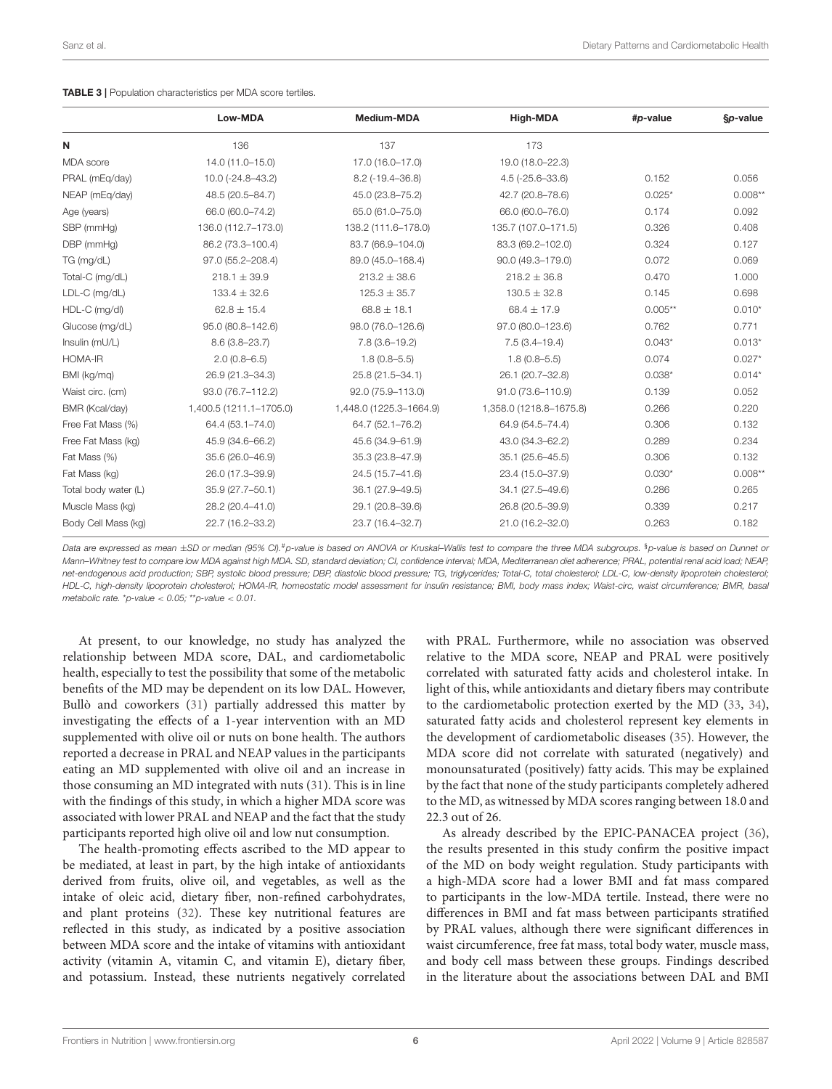<span id="page-5-0"></span>

|                      | Low-MDA                 | Medium-MDA               | High-MDA                | #p-value  | §p-value  |
|----------------------|-------------------------|--------------------------|-------------------------|-----------|-----------|
| N                    | 136                     | 137                      | 173                     |           |           |
| MDA score            | 14.0 (11.0-15.0)        | 17.0 (16.0-17.0)         | 19.0 (18.0-22.3)        |           |           |
| PRAL (mEg/day)       | $10.0 (-24.8 - 43.2)$   | $8.2$ ( $-19.4 - 36.8$ ) | $4.5(-25.6-33.6)$       | 0.152     | 0.056     |
| NEAP (mEq/day)       | 48.5 (20.5-84.7)        | 45.0 (23.8-75.2)         | 42.7 (20.8-78.6)        | $0.025*$  | $0.008**$ |
| Age (years)          | 66.0 (60.0-74.2)        | 65.0 (61.0-75.0)         | 66.0 (60.0-76.0)        | 0.174     | 0.092     |
| SBP (mmHq)           | 136.0 (112.7-173.0)     | 138.2 (111.6-178.0)      | 135.7 (107.0-171.5)     | 0.326     | 0.408     |
| DBP (mmHg)           | 86.2 (73.3-100.4)       | 83.7 (66.9-104.0)        | 83.3 (69.2-102.0)       | 0.324     | 0.127     |
| TG (mg/dL)           | 97.0 (55.2-208.4)       | 89.0 (45.0-168.4)        | 90.0 (49.3-179.0)       | 0.072     | 0.069     |
| Total-C (mg/dL)      | $218.1 \pm 39.9$        | $213.2 \pm 38.6$         | $218.2 \pm 36.8$        | 0.470     | 1.000     |
| LDL-C (mg/dL)        | $133.4 \pm 32.6$        | $125.3 \pm 35.7$         | $130.5 \pm 32.8$        | 0.145     | 0.698     |
| HDL-C (mg/dl)        | $62.8 \pm 15.4$         | $68.8 \pm 18.1$          | $68.4 \pm 17.9$         | $0.005**$ | $0.010*$  |
| Glucose (mg/dL)      | 95.0 (80.8-142.6)       | 98.0 (76.0-126.6)        | 97.0 (80.0-123.6)       | 0.762     | 0.771     |
| Insulin (mU/L)       | $8.6(3.8 - 23.7)$       | $7.8(3.6 - 19.2)$        | $7.5(3.4 - 19.4)$       | $0.043*$  | $0.013*$  |
| HOMA-IR              | $2.0(0.8 - 6.5)$        | $1.8(0.8 - 5.5)$         | $1.8(0.8 - 5.5)$        | 0.074     | $0.027*$  |
| BMI (kg/mq)          | 26.9 (21.3-34.3)        | 25.8 (21.5-34.1)         | 26.1 (20.7-32.8)        | $0.038*$  | $0.014*$  |
| Waist circ. (cm)     | 93.0 (76.7-112.2)       | 92.0 (75.9-113.0)        | 91.0 (73.6-110.9)       | 0.139     | 0.052     |
| BMR (Kcal/day)       | 1,400.5 (1211.1-1705.0) | 1,448.0 (1225.3-1664.9)  | 1,358.0 (1218.8-1675.8) | 0.266     | 0.220     |
| Free Fat Mass (%)    | 64.4 (53.1-74.0)        | 64.7 (52.1-76.2)         | 64.9 (54.5-74.4)        | 0.306     | 0.132     |
| Free Fat Mass (kg)   | 45.9 (34.6-66.2)        | 45.6 (34.9-61.9)         | 43.0 (34.3-62.2)        | 0.289     | 0.234     |
| Fat Mass (%)         | 35.6 (26.0-46.9)        | 35.3 (23.8-47.9)         | 35.1 (25.6-45.5)        | 0.306     | 0.132     |
| Fat Mass (kg)        | 26.0 (17.3-39.9)        | 24.5 (15.7-41.6)         | 23.4 (15.0-37.9)        | $0.030*$  | $0.008**$ |
| Total body water (L) | 35.9 (27.7-50.1)        | 36.1 (27.9-49.5)         | 34.1 (27.5-49.6)        | 0.286     | 0.265     |
| Muscle Mass (kg)     | 28.2 (20.4-41.0)        | 29.1 (20.8-39.6)         | 26.8 (20.5-39.9)        | 0.339     | 0.217     |
| Body Cell Mass (kg)  | 22.7 (16.2-33.2)        | 23.7 (16.4-32.7)         | 21.0 (16.2-32.0)        | 0.263     | 0.182     |

Data are expressed as mean ±SD or median (95% CI).<sup>#</sup>p-value is based on ANOVA or Kruskal–Wallis test to compare the three MDA subgroups. <sup>§</sup>p-value is based on Dunnet or Mann–Whitney test to compare low MDA against high MDA. SD, standard deviation; CI, confidence interval; MDA, Mediterranean diet adherence; PRAL, potential renal acid load; NEAP, net-endogenous acid production; SBP, systolic blood pressure; DBP, diastolic blood pressure; TG, triglycerides; Total-C, total cholesterol; LDL-C, low-density lipoprotein cholesterol; HDL-C, high-density lipoprotein cholesterol; HOMA-IR, homeostatic model assessment for insulin resistance; BMI, body mass index; Waist-circ, waist circumference; BMR, basal metabolic rate. \*p-value  $<$  0.05; \*\*p-value  $<$  0.01.

At present, to our knowledge, no study has analyzed the relationship between MDA score, DAL, and cardiometabolic health, especially to test the possibility that some of the metabolic benefits of the MD may be dependent on its low DAL. However, Bullò and coworkers [\(31\)](#page-9-23) partially addressed this matter by investigating the effects of a 1-year intervention with an MD supplemented with olive oil or nuts on bone health. The authors reported a decrease in PRAL and NEAP values in the participants eating an MD supplemented with olive oil and an increase in those consuming an MD integrated with nuts [\(31\)](#page-9-23). This is in line with the findings of this study, in which a higher MDA score was associated with lower PRAL and NEAP and the fact that the study participants reported high olive oil and low nut consumption.

The health-promoting effects ascribed to the MD appear to be mediated, at least in part, by the high intake of antioxidants derived from fruits, olive oil, and vegetables, as well as the intake of oleic acid, dietary fiber, non-refined carbohydrates, and plant proteins [\(32\)](#page-9-24). These key nutritional features are reflected in this study, as indicated by a positive association between MDA score and the intake of vitamins with antioxidant activity (vitamin A, vitamin C, and vitamin E), dietary fiber, and potassium. Instead, these nutrients negatively correlated with PRAL. Furthermore, while no association was observed relative to the MDA score, NEAP and PRAL were positively correlated with saturated fatty acids and cholesterol intake. In light of this, while antioxidants and dietary fibers may contribute to the cardiometabolic protection exerted by the MD [\(33,](#page-9-25) [34\)](#page-9-26), saturated fatty acids and cholesterol represent key elements in the development of cardiometabolic diseases [\(35\)](#page-9-27). However, the MDA score did not correlate with saturated (negatively) and monounsaturated (positively) fatty acids. This may be explained by the fact that none of the study participants completely adhered to the MD, as witnessed by MDA scores ranging between 18.0 and 22.3 out of 26.

As already described by the EPIC-PANACEA project [\(36\)](#page-9-28), the results presented in this study confirm the positive impact of the MD on body weight regulation. Study participants with a high-MDA score had a lower BMI and fat mass compared to participants in the low-MDA tertile. Instead, there were no differences in BMI and fat mass between participants stratified by PRAL values, although there were significant differences in waist circumference, free fat mass, total body water, muscle mass, and body cell mass between these groups. Findings described in the literature about the associations between DAL and BMI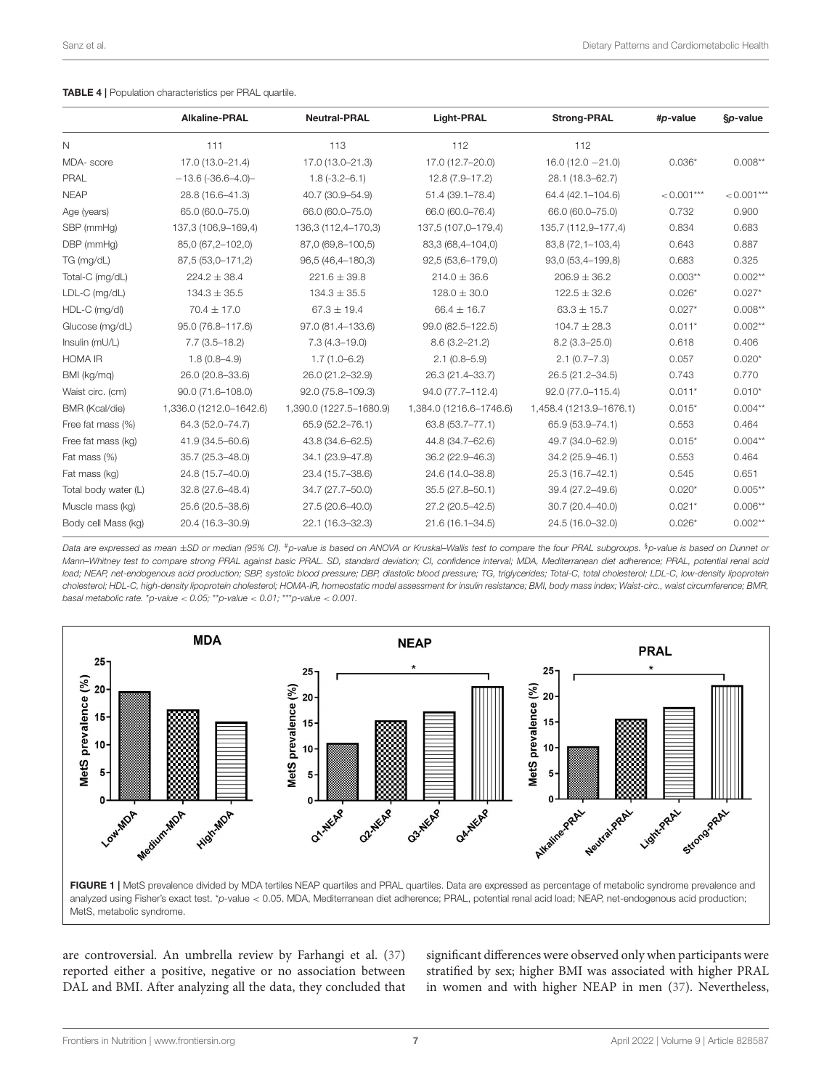<span id="page-6-0"></span>

|                      | <b>Alkaline-PRAL</b>    | <b>Neutral-PRAL</b>     | Light-PRAL              | <b>Strong-PRAL</b>      | #p-value     | §p-value     |
|----------------------|-------------------------|-------------------------|-------------------------|-------------------------|--------------|--------------|
| $\mathsf{N}$         | 111                     | 113                     | 112                     | 112                     |              |              |
| MDA-score            | 17.0 (13.0-21.4)        | 17.0 (13.0-21.3)        | 17.0 (12.7-20.0)        | $16.0(12.0 - 21.0)$     | $0.036*$     | $0.008**$    |
| PRAL                 | $-13.6$ (-36.6-4.0)-    | $1.8(-3.2 - 6.1)$       | 12.8 (7.9-17.2)         | 28.1 (18.3-62.7)        |              |              |
| <b>NEAP</b>          | 28.8 (16.6-41.3)        | 40.7 (30.9-54.9)        | 51.4 (39.1-78.4)        | 64.4 (42.1-104.6)       | $< 0.001***$ | $< 0.001***$ |
| Age (years)          | 65.0 (60.0-75.0)        | 66.0 (60.0-75.0)        | 66.0 (60.0-76.4)        | 66.0 (60.0-75.0)        | 0.732        | 0.900        |
| SBP (mmHq)           | 137,3 (106,9-169,4)     | 136,3 (112,4-170,3)     | 137,5 (107,0-179,4)     | 135,7 (112,9-177,4)     | 0.834        | 0.683        |
| DBP (mmHg)           | 85,0 (67,2-102,0)       | 87,0 (69,8-100,5)       | 83,3 (68,4-104,0)       | 83,8 (72, 1-103, 4)     | 0.643        | 0.887        |
| TG (mg/dL)           | 87,5 (53,0-171,2)       | 96,5 (46,4-180,3)       | 92,5 (53,6-179,0)       | 93,0 (53,4-199,8)       | 0.683        | 0.325        |
| Total-C (mg/dL)      | $224.2 \pm 38.4$        | $221.6 \pm 39.8$        | $214.0 \pm 36.6$        | $206.9 \pm 36.2$        | $0.003**$    | $0.002**$    |
| LDL-C (mg/dL)        | $134.3 \pm 35.5$        | $134.3 \pm 35.5$        | $128.0 \pm 30.0$        | $122.5 \pm 32.6$        | $0.026*$     | $0.027*$     |
| HDL-C (mg/dl)        | $70.4 \pm 17.0$         | $67.3 \pm 19.4$         | $66.4 \pm 16.7$         | $63.3 \pm 15.7$         | $0.027*$     | $0.008**$    |
| Glucose (mg/dL)      | 95.0 (76.8-117.6)       | 97.0 (81.4-133.6)       | 99.0 (82.5-122.5)       | $104.7 \pm 28.3$        | $0.011*$     | $0.002**$    |
| Insulin (mU/L)       | $7.7(3.5 - 18.2)$       | $7.3(4.3 - 19.0)$       | $8.6(3.2 - 21.2)$       | $8.2(3.3 - 25.0)$       | 0.618        | 0.406        |
| <b>HOMA IR</b>       | $1.8(0.8-4.9)$          | $1.7(1.0 - 6.2)$        | $2.1(0.8 - 5.9)$        | $2.1(0.7 - 7.3)$        | 0.057        | $0.020*$     |
| BMI (kg/mq)          | 26.0 (20.8-33.6)        | 26.0 (21.2-32.9)        | 26.3 (21.4-33.7)        | 26.5 (21.2-34.5)        | 0.743        | 0.770        |
| Waist circ. (cm)     | 90.0 (71.6-108.0)       | 92.0 (75.8-109.3)       | 94.0 (77.7-112.4)       | 92.0 (77.0-115.4)       | $0.011*$     | $0.010*$     |
| BMR (Kcal/die)       | 1,336.0 (1212.0-1642.6) | 1,390.0 (1227.5-1680.9) | 1,384.0 (1216.6-1746.6) | 1,458.4 (1213.9-1676.1) | $0.015*$     | $0.004**$    |
| Free fat mass (%)    | 64.3 (52.0-74.7)        | 65.9 (52.2-76.1)        | 63.8 (53.7-77.1)        | 65.9 (53.9-74.1)        | 0.553        | 0.464        |
| Free fat mass (kg)   | 41.9 (34.5-60.6)        | 43.8 (34.6-62.5)        | 44.8 (34.7-62.6)        | 49.7 (34.0-62.9)        | $0.015*$     | $0.004**$    |
| Fat mass (%)         | 35.7 (25.3-48.0)        | 34.1 (23.9-47.8)        | 36.2 (22.9-46.3)        | 34.2 (25.9-46.1)        | 0.553        | 0.464        |
| Fat mass (kg)        | 24.8 (15.7-40.0)        | 23.4 (15.7-38.6)        | 24.6 (14.0-38.8)        | 25.3 (16.7-42.1)        | 0.545        | 0.651        |
| Total body water (L) | 32.8 (27.6-48.4)        | 34.7 (27.7-50.0)        | 35.5 (27.8-50.1)        | 39.4 (27.2-49.6)        | $0.020*$     | $0.005**$    |
| Muscle mass (kg)     | 25.6 (20.5-38.6)        | 27.5 (20.6-40.0)        | 27.2 (20.5-42.5)        | $30.7(20.4 - 40.0)$     | $0.021*$     | $0.006**$    |
| Body cell Mass (kg)  | 20.4 (16.3-30.9)        | 22.1 (16.3-32.3)        | 21.6 (16.1-34.5)        | 24.5 (16.0-32.0)        | $0.026*$     | $0.002**$    |

Data are expressed as mean ±SD or median (95% CI). #p-value is based on ANOVA or Kruskal–Wallis test to compare the four PRAL subgroups. \$p-value is based on Dunnet or Mann–Whitney test to compare strong PRAL against basic PRAL. SD, standard deviation; CI, confidence interval; MDA, Mediterranean diet adherence; PRAL, potential renal acid load; NEAP, net-endogenous acid production; SBP, systolic blood pressure; DBP, diastolic blood pressure; TG, triglycerides; Total-C, total cholesterol; LDL-C, low-density lipoprotein cholesterol; HDL-C, high-density lipoprotein cholesterol; HOMA-IR, homeostatic model assessment for insulin resistance; BMI, body mass index; Waist-circ., waist circumference; BMR, basal metabolic rate. \*p-value  $<$  0.05; \*\*p-value  $<$  0.01; \*\*\*p-value  $<$  0.001.



<span id="page-6-1"></span>analyzed using Fisher's exact test. \*p-value < 0.05. MDA, Mediterranean diet adherence; PRAL, potential renal acid load; NEAP, net-endogenous acid production; MetS, metabolic syndrome.

are controversial. An umbrella review by Farhangi et al. [\(37\)](#page-9-29) reported either a positive, negative or no association between DAL and BMI. After analyzing all the data, they concluded that significant differences were observed only when participants were stratified by sex; higher BMI was associated with higher PRAL in women and with higher NEAP in men [\(37\)](#page-9-29). Nevertheless,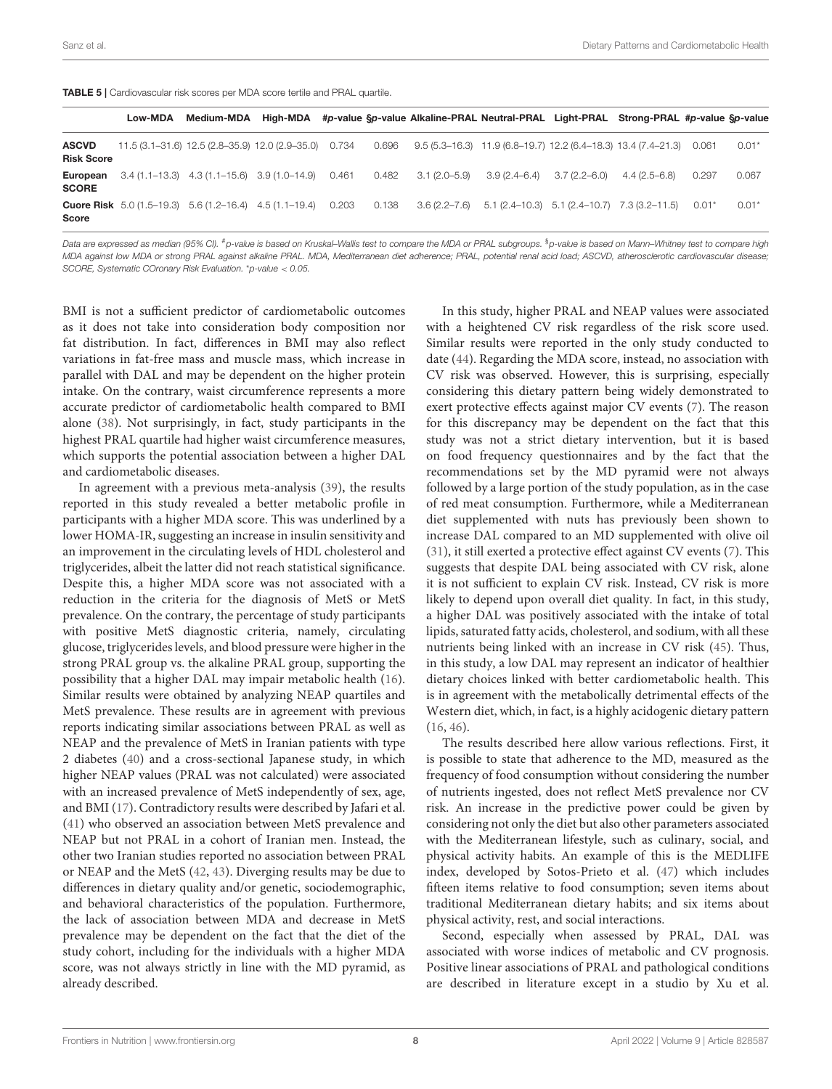<span id="page-7-0"></span>TABLE 5 | Cardiovascular risk scores per MDA score tertile and PRAL quartile.

|                                   | Low-MDA | <b>Medium-MDA</b>                                                 | High-MDA |       |       |                  | #p-value Sp-value Alkaline-PRAL Neutral-PRAL Light-PRAL Strong-PRAL #p-value Sp-value |                  |                |         |         |
|-----------------------------------|---------|-------------------------------------------------------------------|----------|-------|-------|------------------|---------------------------------------------------------------------------------------|------------------|----------------|---------|---------|
| <b>ASCVD</b><br><b>Risk Score</b> |         | 11.5 (3.1-31.6) 12.5 (2.8-35.9) 12.0 (2.9-35.0) 0.734             |          |       | 0.696 |                  | $9.5(5.3-16.3)$ 11.9 $(6.8-19.7)$ 12.2 $(6.4-18.3)$ 13.4 $(7.4-21.3)$ 0.061           |                  |                |         | $0.01*$ |
| European<br><b>SCORE</b>          |         | $3.4(1.1-13.3)$ $4.3(1.1-15.6)$ $3.9(1.0-14.9)$                   |          | 0.461 | 0.482 | $3.1(2.0 - 5.9)$ | $3.9(2.4 - 6.4)$                                                                      | $3.7(2.2 - 6.0)$ | $4.4(2.5-6.8)$ | 0.297   | 0.067   |
| <b>Score</b>                      |         | <b>Cuore Risk</b> $5.0(1.5-19.3)$ $5.6(1.2-16.4)$ $4.5(1.1-19.4)$ |          | 0.203 | 0.138 |                  | $3.6(2.2-7.6)$ $5.1(2.4-10.3)$ $5.1(2.4-10.7)$ $7.3(3.2-11.5)$                        |                  |                | $0.01*$ | $0.01*$ |

Data are expressed as median (95% CI). #p-value is based on Kruskal–Wallis test to compare the MDA or PRAL subgroups. <sup>§</sup>p-value is based on Mann–Whitney test to compare high MDA against low MDA or strong PRAL against alkaline PRAL. MDA, Mediterranean diet adherence; PRAL, potential renal acid load; ASCVD, atherosclerotic cardiovascular disease; SCORE, Systematic COronary Risk Evaluation. \*p-value < 0.05.

BMI is not a sufficient predictor of cardiometabolic outcomes as it does not take into consideration body composition nor fat distribution. In fact, differences in BMI may also reflect variations in fat-free mass and muscle mass, which increase in parallel with DAL and may be dependent on the higher protein intake. On the contrary, waist circumference represents a more accurate predictor of cardiometabolic health compared to BMI alone [\(38\)](#page-9-30). Not surprisingly, in fact, study participants in the highest PRAL quartile had higher waist circumference measures, which supports the potential association between a higher DAL and cardiometabolic diseases.

In agreement with a previous meta-analysis [\(39\)](#page-9-31), the results reported in this study revealed a better metabolic profile in participants with a higher MDA score. This was underlined by a lower HOMA-IR, suggesting an increase in insulin sensitivity and an improvement in the circulating levels of HDL cholesterol and triglycerides, albeit the latter did not reach statistical significance. Despite this, a higher MDA score was not associated with a reduction in the criteria for the diagnosis of MetS or MetS prevalence. On the contrary, the percentage of study participants with positive MetS diagnostic criteria, namely, circulating glucose, triglycerides levels, and blood pressure were higher in the strong PRAL group vs. the alkaline PRAL group, supporting the possibility that a higher DAL may impair metabolic health [\(16\)](#page-9-32). Similar results were obtained by analyzing NEAP quartiles and MetS prevalence. These results are in agreement with previous reports indicating similar associations between PRAL as well as NEAP and the prevalence of MetS in Iranian patients with type 2 diabetes [\(40\)](#page-9-33) and a cross-sectional Japanese study, in which higher NEAP values (PRAL was not calculated) were associated with an increased prevalence of MetS independently of sex, age, and BMI [\(17\)](#page-9-10). Contradictory results were described by Jafari et al. [\(41\)](#page-10-0) who observed an association between MetS prevalence and NEAP but not PRAL in a cohort of Iranian men. Instead, the other two Iranian studies reported no association between PRAL or NEAP and the MetS [\(42,](#page-10-1) [43\)](#page-10-2). Diverging results may be due to differences in dietary quality and/or genetic, sociodemographic, and behavioral characteristics of the population. Furthermore, the lack of association between MDA and decrease in MetS prevalence may be dependent on the fact that the diet of the study cohort, including for the individuals with a higher MDA score, was not always strictly in line with the MD pyramid, as already described.

In this study, higher PRAL and NEAP values were associated with a heightened CV risk regardless of the risk score used. Similar results were reported in the only study conducted to date [\(44\)](#page-10-3). Regarding the MDA score, instead, no association with CV risk was observed. However, this is surprising, especially considering this dietary pattern being widely demonstrated to exert protective effects against major CV events [\(7\)](#page-9-1). The reason for this discrepancy may be dependent on the fact that this study was not a strict dietary intervention, but it is based on food frequency questionnaires and by the fact that the recommendations set by the MD pyramid were not always followed by a large portion of the study population, as in the case of red meat consumption. Furthermore, while a Mediterranean diet supplemented with nuts has previously been shown to increase DAL compared to an MD supplemented with olive oil [\(31\)](#page-9-23), it still exerted a protective effect against CV events [\(7\)](#page-9-1). This suggests that despite DAL being associated with CV risk, alone it is not sufficient to explain CV risk. Instead, CV risk is more likely to depend upon overall diet quality. In fact, in this study, a higher DAL was positively associated with the intake of total lipids, saturated fatty acids, cholesterol, and sodium, with all these nutrients being linked with an increase in CV risk [\(45\)](#page-10-4). Thus, in this study, a low DAL may represent an indicator of healthier dietary choices linked with better cardiometabolic health. This is in agreement with the metabolically detrimental effects of the Western diet, which, in fact, is a highly acidogenic dietary pattern [\(16,](#page-9-32) [46\)](#page-10-5).

The results described here allow various reflections. First, it is possible to state that adherence to the MD, measured as the frequency of food consumption without considering the number of nutrients ingested, does not reflect MetS prevalence nor CV risk. An increase in the predictive power could be given by considering not only the diet but also other parameters associated with the Mediterranean lifestyle, such as culinary, social, and physical activity habits. An example of this is the MEDLIFE index, developed by Sotos-Prieto et al. [\(47\)](#page-10-6) which includes fifteen items relative to food consumption; seven items about traditional Mediterranean dietary habits; and six items about physical activity, rest, and social interactions.

Second, especially when assessed by PRAL, DAL was associated with worse indices of metabolic and CV prognosis. Positive linear associations of PRAL and pathological conditions are described in literature except in a studio by Xu et al.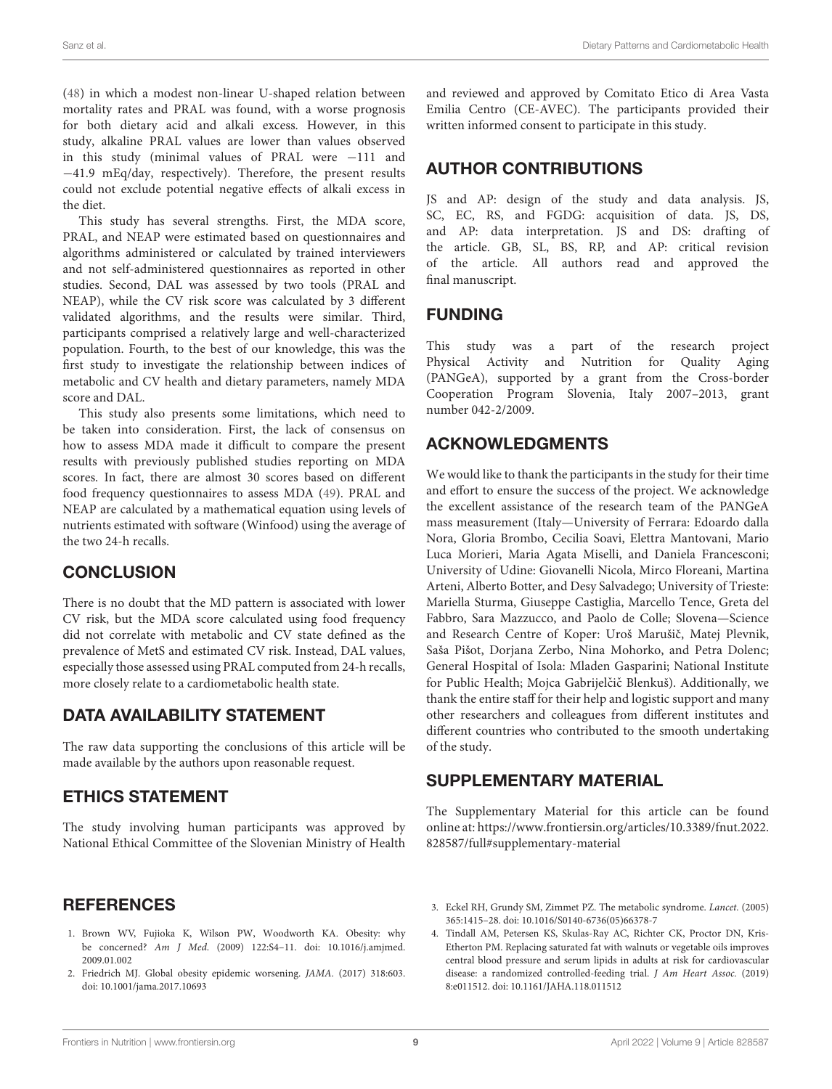[\(48\)](#page-10-7) in which a modest non-linear U-shaped relation between mortality rates and PRAL was found, with a worse prognosis for both dietary acid and alkali excess. However, in this study, alkaline PRAL values are lower than values observed in this study (minimal values of PRAL were −111 and −41.9 mEq/day, respectively). Therefore, the present results could not exclude potential negative effects of alkali excess in the diet.

This study has several strengths. First, the MDA score, PRAL, and NEAP were estimated based on questionnaires and algorithms administered or calculated by trained interviewers and not self-administered questionnaires as reported in other studies. Second, DAL was assessed by two tools (PRAL and NEAP), while the CV risk score was calculated by 3 different validated algorithms, and the results were similar. Third, participants comprised a relatively large and well-characterized population. Fourth, to the best of our knowledge, this was the first study to investigate the relationship between indices of metabolic and CV health and dietary parameters, namely MDA score and DAL.

This study also presents some limitations, which need to be taken into consideration. First, the lack of consensus on how to assess MDA made it difficult to compare the present results with previously published studies reporting on MDA scores. In fact, there are almost 30 scores based on different food frequency questionnaires to assess MDA [\(49\)](#page-10-8). PRAL and NEAP are calculated by a mathematical equation using levels of nutrients estimated with software (Winfood) using the average of the two 24-h recalls.

#### **CONCLUSION**

There is no doubt that the MD pattern is associated with lower CV risk, but the MDA score calculated using food frequency did not correlate with metabolic and CV state defined as the prevalence of MetS and estimated CV risk. Instead, DAL values, especially those assessed using PRAL computed from 24-h recalls, more closely relate to a cardiometabolic health state.

#### DATA AVAILABILITY STATEMENT

The raw data supporting the conclusions of this article will be made available by the authors upon reasonable request.

# ETHICS STATEMENT

The study involving human participants was approved by National Ethical Committee of the Slovenian Ministry of Health and reviewed and approved by Comitato Etico di Area Vasta Emilia Centro (CE-AVEC). The participants provided their written informed consent to participate in this study.

## AUTHOR CONTRIBUTIONS

JS and AP: design of the study and data analysis. JS, SC, EC, RS, and FGDG: acquisition of data. JS, DS, and AP: data interpretation. JS and DS: drafting of the article. GB, SL, BS, RP, and AP: critical revision of the article. All authors read and approved the final manuscript.

# FUNDING

This study was a part of the research project Physical Activity and Nutrition for Quality Aging (PANGeA), supported by a grant from the Cross-border Cooperation Program Slovenia, Italy 2007–2013, grant number 042-2/2009.

# ACKNOWLEDGMENTS

We would like to thank the participants in the study for their time and effort to ensure the success of the project. We acknowledge the excellent assistance of the research team of the PANGeA mass measurement (Italy—University of Ferrara: Edoardo dalla Nora, Gloria Brombo, Cecilia Soavi, Elettra Mantovani, Mario Luca Morieri, Maria Agata Miselli, and Daniela Francesconi; University of Udine: Giovanelli Nicola, Mirco Floreani, Martina Arteni, Alberto Botter, and Desy Salvadego; University of Trieste: Mariella Sturma, Giuseppe Castiglia, Marcello Tence, Greta del Fabbro, Sara Mazzucco, and Paolo de Colle; Slovena—Science and Research Centre of Koper: Uroš Marušič, Matej Plevnik, Saša Pišot, Dorjana Zerbo, Nina Mohorko, and Petra Dolenc; General Hospital of Isola: Mladen Gasparini; National Institute for Public Health; Mojca Gabrijelčič Blenkuš). Additionally, we thank the entire staff for their help and logistic support and many other researchers and colleagues from different institutes and different countries who contributed to the smooth undertaking of the study.

#### SUPPLEMENTARY MATERIAL

<span id="page-8-4"></span>The Supplementary Material for this article can be found [online at: https://www.frontiersin.org/articles/10.3389/fnut.2022.](https://www.frontiersin.org/articles/10.3389/fnut.2022.828587/full#supplementary-material) 828587/full#supplementary-material

# **REFERENCES**

- <span id="page-8-0"></span>1. Brown WV, Fujioka K, Wilson PW, Woodworth KA. Obesity: why be concerned? Am J Med[. \(2009\) 122:S4–11. doi: 10.1016/j.amjmed.](https://doi.org/10.1016/j.amjmed.2009.01.002) 2009.01.002
- <span id="page-8-1"></span>2. Friedrich MJ. Global obesity epidemic worsening. JAMA. (2017) 318:603. doi: [10.1001/jama.2017.10693](https://doi.org/10.1001/jama.2017.10693)
- <span id="page-8-2"></span>3. Eckel RH, Grundy SM, Zimmet PZ. The metabolic syndrome. Lancet. (2005) 365:1415–28. doi: [10.1016/S0140-6736\(05\)66378-7](https://doi.org/10.1016/S0140-6736(05)66378-7)
- <span id="page-8-3"></span>4. Tindall AM, Petersen KS, Skulas-Ray AC, Richter CK, Proctor DN, Kris-Etherton PM. Replacing saturated fat with walnuts or vegetable oils improves central blood pressure and serum lipids in adults at risk for cardiovascular disease: a randomized controlled-feeding trial. J Am Heart Assoc. (2019) 8:e011512. doi: [10.1161/JAHA.118.011512](https://doi.org/10.1161/JAHA.118.011512)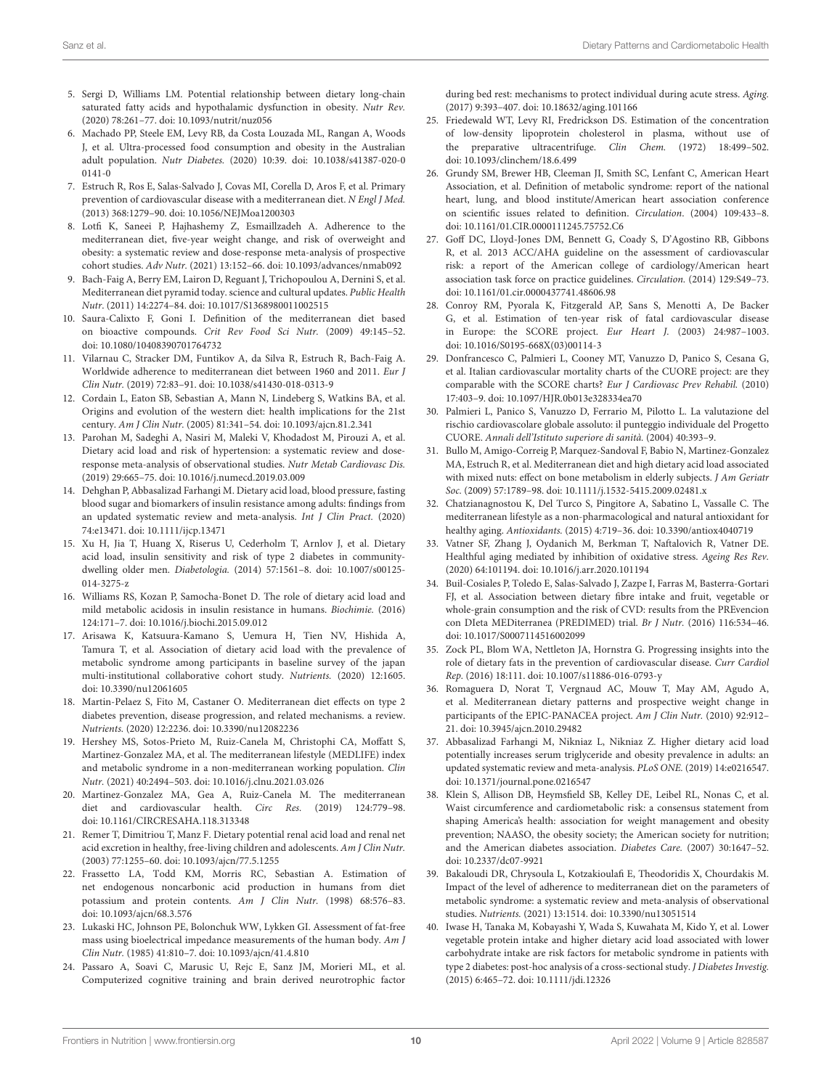- 5. Sergi D, Williams LM. Potential relationship between dietary long-chain saturated fatty acids and hypothalamic dysfunction in obesity. Nutr Rev. (2020) 78:261–77. doi: [10.1093/nutrit/nuz056](https://doi.org/10.1093/nutrit/nuz056)
- <span id="page-9-0"></span>6. Machado PP, Steele EM, Levy RB, da Costa Louzada ML, Rangan A, Woods J, et al. Ultra-processed food consumption and obesity in the Australian adult population. Nutr Diabetes. [\(2020\) 10:39. doi: 10.1038/s41387-020-0](https://doi.org/10.1038/s41387-020-00141-0) 0141-0
- <span id="page-9-1"></span>7. Estruch R, Ros E, Salas-Salvado J, Covas MI, Corella D, Aros F, et al. Primary prevention of cardiovascular disease with a mediterranean diet. N Engl J Med. (2013) 368:1279–90. doi: [10.1056/NEJMoa1200303](https://doi.org/10.1056/NEJMoa1200303)
- <span id="page-9-2"></span>8. Lotfi K, Saneei P, Hajhashemy Z, Esmaillzadeh A. Adherence to the mediterranean diet, five-year weight change, and risk of overweight and obesity: a systematic review and dose-response meta-analysis of prospective cohort studies. Adv Nutr. (2021) 13:152–66. doi: [10.1093/advances/nmab092](https://doi.org/10.1093/advances/nmab092)
- <span id="page-9-3"></span>9. Bach-Faig A, Berry EM, Lairon D, Reguant J, Trichopoulou A, Dernini S, et al. Mediterranean diet pyramid today. science and cultural updates. Public Health Nutr. (2011) 14:2274–84. doi: [10.1017/S1368980011002515](https://doi.org/10.1017/S1368980011002515)
- <span id="page-9-4"></span>10. Saura-Calixto F, Goni I. Definition of the mediterranean diet based on bioactive compounds. Crit Rev Food Sci Nutr. (2009) 49:145–52. doi: [10.1080/10408390701764732](https://doi.org/10.1080/10408390701764732)
- <span id="page-9-5"></span>11. Vilarnau C, Stracker DM, Funtikov A, da Silva R, Estruch R, Bach-Faig A. Worldwide adherence to mediterranean diet between 1960 and 2011. Eur J Clin Nutr. (2019) 72:83–91. doi: [10.1038/s41430-018-0313-9](https://doi.org/10.1038/s41430-018-0313-9)
- <span id="page-9-6"></span>12. Cordain L, Eaton SB, Sebastian A, Mann N, Lindeberg S, Watkins BA, et al. Origins and evolution of the western diet: health implications for the 21st century. Am J Clin Nutr. (2005) 81:341–54. doi: [10.1093/ajcn.81.2.341](https://doi.org/10.1093/ajcn.81.2.341)
- <span id="page-9-7"></span>13. Parohan M, Sadeghi A, Nasiri M, Maleki V, Khodadost M, Pirouzi A, et al. Dietary acid load and risk of hypertension: a systematic review and doseresponse meta-analysis of observational studies. Nutr Metab Cardiovasc Dis. (2019) 29:665–75. doi: [10.1016/j.numecd.2019.03.009](https://doi.org/10.1016/j.numecd.2019.03.009)
- <span id="page-9-8"></span>14. Dehghan P, Abbasalizad Farhangi M. Dietary acid load, blood pressure, fasting blood sugar and biomarkers of insulin resistance among adults: findings from an updated systematic review and meta-analysis. Int J Clin Pract. (2020) 74:e13471. doi: [10.1111/ijcp.13471](https://doi.org/10.1111/ijcp.13471)
- <span id="page-9-9"></span>15. Xu H, Jia T, Huang X, Riserus U, Cederholm T, Arnlov J, et al. Dietary acid load, insulin sensitivity and risk of type 2 diabetes in communitydwelling older men. Diabetologia. [\(2014\) 57:1561–8. doi: 10.1007/s00125-](https://doi.org/10.1007/s00125-014-3275-z) 014-3275-z
- <span id="page-9-32"></span>16. Williams RS, Kozan P, Samocha-Bonet D. The role of dietary acid load and mild metabolic acidosis in insulin resistance in humans. Biochimie. (2016) 124:171–7. doi: [10.1016/j.biochi.2015.09.012](https://doi.org/10.1016/j.biochi.2015.09.012)
- <span id="page-9-10"></span>17. Arisawa K, Katsuura-Kamano S, Uemura H, Tien NV, Hishida A, Tamura T, et al. Association of dietary acid load with the prevalence of metabolic syndrome among participants in baseline survey of the japan multi-institutional collaborative cohort study. Nutrients. (2020) 12:1605. doi: [10.3390/nu12061605](https://doi.org/10.3390/nu12061605)
- <span id="page-9-11"></span>18. Martin-Pelaez S, Fito M, Castaner O. Mediterranean diet effects on type 2 diabetes prevention, disease progression, and related mechanisms. a review. Nutrients. (2020) 12:2236. doi: [10.3390/nu12082236](https://doi.org/10.3390/nu12082236)
- 19. Hershey MS, Sotos-Prieto M, Ruiz-Canela M, Christophi CA, Moffatt S, Martinez-Gonzalez MA, et al. The mediterranean lifestyle (MEDLIFE) index and metabolic syndrome in a non-mediterranean working population. Clin Nutr. (2021) 40:2494–503. doi: [10.1016/j.clnu.2021.03.026](https://doi.org/10.1016/j.clnu.2021.03.026)
- <span id="page-9-12"></span>20. Martinez-Gonzalez MA, Gea A, Ruiz-Canela M. The mediterranean diet and cardiovascular health. Circ Res. (2019) 124:779–98. doi: [10.1161/CIRCRESAHA.118.313348](https://doi.org/10.1161/CIRCRESAHA.118.313348)
- <span id="page-9-13"></span>21. Remer T, Dimitriou T, Manz F. Dietary potential renal acid load and renal net acid excretion in healthy, free-living children and adolescents. Am J Clin Nutr. (2003) 77:1255–60. doi: [10.1093/ajcn/77.5.1255](https://doi.org/10.1093/ajcn/77.5.1255)
- <span id="page-9-14"></span>22. Frassetto LA, Todd KM, Morris RC, Sebastian A. Estimation of net endogenous noncarbonic acid production in humans from diet potassium and protein contents. Am J Clin Nutr. (1998) 68:576–83. doi: [10.1093/ajcn/68.3.576](https://doi.org/10.1093/ajcn/68.3.576)
- <span id="page-9-15"></span>23. Lukaski HC, Johnson PE, Bolonchuk WW, Lykken GI. Assessment of fat-free mass using bioelectrical impedance measurements of the human body. Am J Clin Nutr. (1985) 41:810–7. doi: [10.1093/ajcn/41.4.810](https://doi.org/10.1093/ajcn/41.4.810)
- <span id="page-9-16"></span>24. Passaro A, Soavi C, Marusic U, Rejc E, Sanz JM, Morieri ML, et al. Computerized cognitive training and brain derived neurotrophic factor

during bed rest: mechanisms to protect individual during acute stress. Aging. (2017) 9:393–407. doi: [10.18632/aging.101166](https://doi.org/10.18632/aging.101166)

- <span id="page-9-17"></span>25. Friedewald WT, Levy RI, Fredrickson DS. Estimation of the concentration of low-density lipoprotein cholesterol in plasma, without use of the preparative ultracentrifuge. Clin Chem. (1972) 18:499–502. doi: [10.1093/clinchem/18.6.499](https://doi.org/10.1093/clinchem/18.6.499)
- <span id="page-9-18"></span>26. Grundy SM, Brewer HB, Cleeman JI, Smith SC, Lenfant C, American Heart Association, et al. Definition of metabolic syndrome: report of the national heart, lung, and blood institute/American heart association conference on scientific issues related to definition. Circulation. (2004) 109:433–8. doi: [10.1161/01.CIR.0000111245.75752.C6](https://doi.org/10.1161/01.CIR.0000111245.75752.C6)
- <span id="page-9-19"></span>27. Goff DC, Lloyd-Jones DM, Bennett G, Coady S, D'Agostino RB, Gibbons R, et al. 2013 ACC/AHA guideline on the assessment of cardiovascular risk: a report of the American college of cardiology/American heart association task force on practice guidelines. Circulation. (2014) 129:S49–73. doi: [10.1161/01.cir.0000437741.48606.98](https://doi.org/10.1161/01.cir.0000437741.48606.98)
- <span id="page-9-20"></span>28. Conroy RM, Pyorala K, Fitzgerald AP, Sans S, Menotti A, De Backer G, et al. Estimation of ten-year risk of fatal cardiovascular disease in Europe: the SCORE project. Eur Heart J. (2003) 24:987–1003. doi: [10.1016/S0195-668X\(03\)00114-3](https://doi.org/10.1016/S0195-668X(03)00114-3)
- <span id="page-9-21"></span>29. Donfrancesco C, Palmieri L, Cooney MT, Vanuzzo D, Panico S, Cesana G, et al. Italian cardiovascular mortality charts of the CUORE project: are they comparable with the SCORE charts? Eur J Cardiovasc Prev Rehabil. (2010) 17:403–9. doi: [10.1097/HJR.0b013e328334ea70](https://doi.org/10.1097/HJR.0b013e328334ea70)
- <span id="page-9-22"></span>30. Palmieri L, Panico S, Vanuzzo D, Ferrario M, Pilotto L. La valutazione del rischio cardiovascolare globale assoluto: il punteggio individuale del Progetto CUORE. Annali dell'Istituto superiore di sanità. (2004) 40:393–9.
- <span id="page-9-23"></span>31. Bullo M, Amigo-Correig P, Marquez-Sandoval F, Babio N, Martinez-Gonzalez MA, Estruch R, et al. Mediterranean diet and high dietary acid load associated with mixed nuts: effect on bone metabolism in elderly subjects. J Am Geriatr Soc. (2009) 57:1789–98. doi: [10.1111/j.1532-5415.2009.02481.x](https://doi.org/10.1111/j.1532-5415.2009.02481.x)
- <span id="page-9-24"></span>32. Chatzianagnostou K, Del Turco S, Pingitore A, Sabatino L, Vassalle C. The mediterranean lifestyle as a non-pharmacological and natural antioxidant for healthy aging. Antioxidants. (2015) 4:719–36. doi: [10.3390/antiox4040719](https://doi.org/10.3390/antiox4040719)
- <span id="page-9-25"></span>33. Vatner SF, Zhang J, Oydanich M, Berkman T, Naftalovich R, Vatner DE. Healthful aging mediated by inhibition of oxidative stress. Ageing Res Rev. (2020) 64:101194. doi: [10.1016/j.arr.2020.101194](https://doi.org/10.1016/j.arr.2020.101194)
- <span id="page-9-26"></span>34. Buil-Cosiales P, Toledo E, Salas-Salvado J, Zazpe I, Farras M, Basterra-Gortari FJ, et al. Association between dietary fibre intake and fruit, vegetable or whole-grain consumption and the risk of CVD: results from the PREvencion con DIeta MEDiterranea (PREDIMED) trial. Br J Nutr. (2016) 116:534–46. doi: [10.1017/S0007114516002099](https://doi.org/10.1017/S0007114516002099)
- <span id="page-9-27"></span>35. Zock PL, Blom WA, Nettleton JA, Hornstra G. Progressing insights into the role of dietary fats in the prevention of cardiovascular disease. Curr Cardiol Rep. (2016) 18:111. doi: [10.1007/s11886-016-0793-y](https://doi.org/10.1007/s11886-016-0793-y)
- <span id="page-9-28"></span>36. Romaguera D, Norat T, Vergnaud AC, Mouw T, May AM, Agudo A, et al. Mediterranean dietary patterns and prospective weight change in participants of the EPIC-PANACEA project. Am J Clin Nutr. (2010) 92:912– 21. doi: [10.3945/ajcn.2010.29482](https://doi.org/10.3945/ajcn.2010.29482)
- <span id="page-9-29"></span>37. Abbasalizad Farhangi M, Nikniaz L, Nikniaz Z. Higher dietary acid load potentially increases serum triglyceride and obesity prevalence in adults: an updated systematic review and meta-analysis. PLoS ONE. (2019) 14:e0216547. doi: [10.1371/journal.pone.0216547](https://doi.org/10.1371/journal.pone.0216547)
- <span id="page-9-30"></span>38. Klein S, Allison DB, Heymsfield SB, Kelley DE, Leibel RL, Nonas C, et al. Waist circumference and cardiometabolic risk: a consensus statement from shaping America's health: association for weight management and obesity prevention; NAASO, the obesity society; the American society for nutrition; and the American diabetes association. Diabetes Care. (2007) 30:1647–52. doi: [10.2337/dc07-9921](https://doi.org/10.2337/dc07-9921)
- <span id="page-9-31"></span>39. Bakaloudi DR, Chrysoula L, Kotzakioulafi E, Theodoridis X, Chourdakis M. Impact of the level of adherence to mediterranean diet on the parameters of metabolic syndrome: a systematic review and meta-analysis of observational studies. Nutrients. (2021) 13:1514. doi: [10.3390/nu13051514](https://doi.org/10.3390/nu13051514)
- <span id="page-9-33"></span>40. Iwase H, Tanaka M, Kobayashi Y, Wada S, Kuwahata M, Kido Y, et al. Lower vegetable protein intake and higher dietary acid load associated with lower carbohydrate intake are risk factors for metabolic syndrome in patients with type 2 diabetes: post-hoc analysis of a cross-sectional study. J Diabetes Investig. (2015) 6:465–72. doi: [10.1111/jdi.12326](https://doi.org/10.1111/jdi.12326)